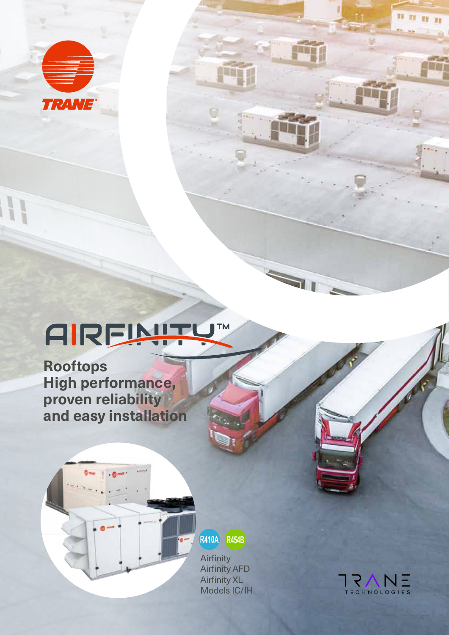

### **TM** AIRFINITY

**Rooftops High performance, proven reliability and easy installation**

**Ome** 

R410A R454B

**Airfinity** Airfinity AFD Airfinity XL Models IC/IH



 $n_{\rm H,II}$ 

Fil

71

'n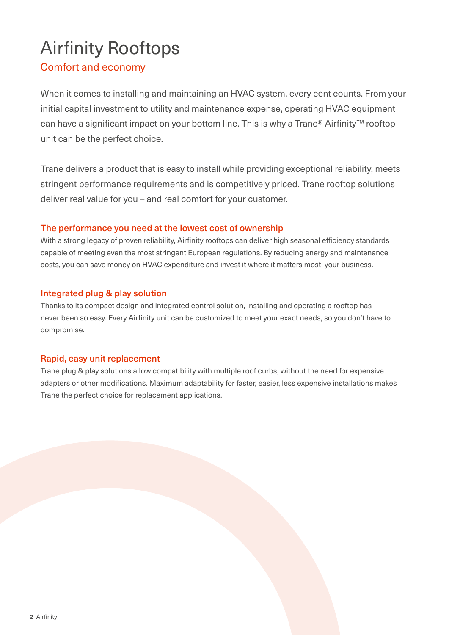# Airfinity Rooftops

### Comfort and economy

When it comes to installing and maintaining an HVAC system, every cent counts. From your initial capital investment to utility and maintenance expense, operating HVAC equipment can have a significant impact on your bottom line. This is why a Trane® Airfinity™ rooftop unit can be the perfect choice.

Trane delivers a product that is easy to install while providing exceptional reliability, meets stringent performance requirements and is competitively priced. Trane rooftop solutions deliver real value for you – and real comfort for your customer.

### The performance you need at the lowest cost of ownership

With a strong legacy of proven reliability, Airfinity rooftops can deliver high seasonal efficiency standards capable of meeting even the most stringent European regulations. By reducing energy and maintenance costs, you can save money on HVAC expenditure and invest it where it matters most: your business.

### Integrated plug & play solution

Thanks to its compact design and integrated control solution, installing and operating a rooftop has never been so easy. Every Airfinity unit can be customized to meet your exact needs, so you don't have to compromise.

### Rapid, easy unit replacement

Trane plug & play solutions allow compatibility with multiple roof curbs, without the need for expensive adapters or other modifications. Maximum adaptability for faster, easier, less expensive installations makes Trane the perfect choice for replacement applications.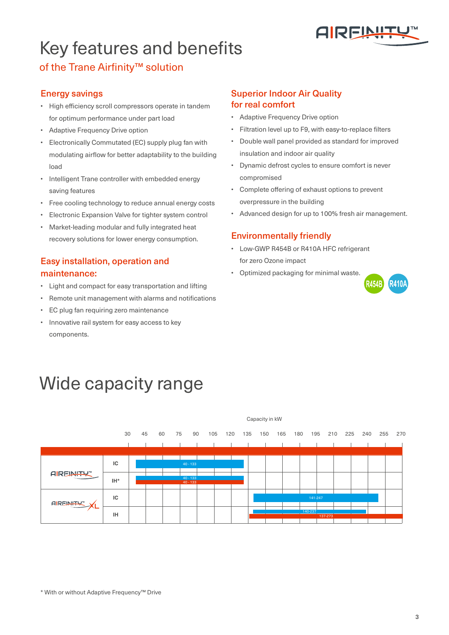

# Key features and benefits

### of the Trane Airfinity™ solution

#### Energy savings

- High efficiency scroll compressors operate in tandem for optimum performance under part load
- Adaptive Frequency Drive option
- Electronically Commutated (EC) supply plug fan with modulating airflow for better adaptability to the building load
- Intelligent Trane controller with embedded energy saving features
- Free cooling technology to reduce annual energy costs
- Electronic Expansion Valve for tighter system control
- Market-leading modular and fully integrated heat recovery solutions for lower energy consumption.

### Easy installation, operation and maintenance:

- Light and compact for easy transportation and lifting
- Remote unit management with alarms and notifications
- EC plug fan requiring zero maintenance
- Innovative rail system for easy access to key components.

#### Superior Indoor Air Quality for real comfort

- Adaptive Frequency Drive option
- Filtration level up to F9, with easy-to-replace filters
- Double wall panel provided as standard for improved insulation and indoor air quality
- Dynamic defrost cycles to ensure comfort is never compromised
- Complete offering of exhaust options to prevent overpressure in the building
- Advanced design for up to 100% fresh air management.

#### Environmentally friendly

- Low-GWP R454B or R410A HFC refrigerant for zero Ozone impact
- Optimized packaging for minimal waste.



## Wide capacity range



\* With or without Adaptive Frequency™ Drive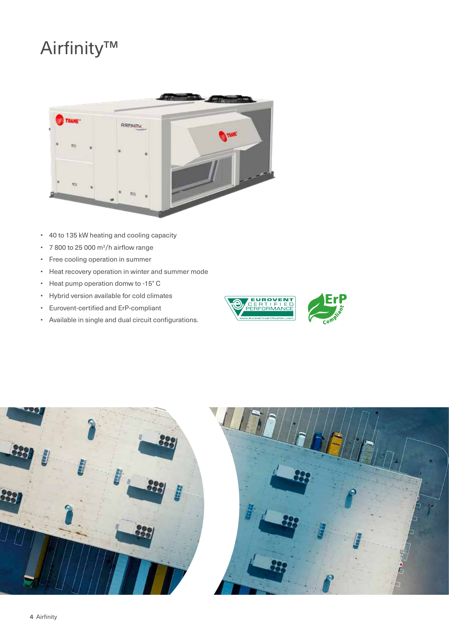# Airfinity™



- 40 to 135 kW heating and cooling capacity
- $\cdot$  7 800 to 25 000 m<sup>3</sup>/h airflow range
- Free cooling operation in summer
- Heat recovery operation in winter and summer mode
- Heat pump operation domw to -15° C
- Hybrid version available for cold climates
- Eurovent-certified and ErP-compliant
- Available in single and dual circuit configurations.





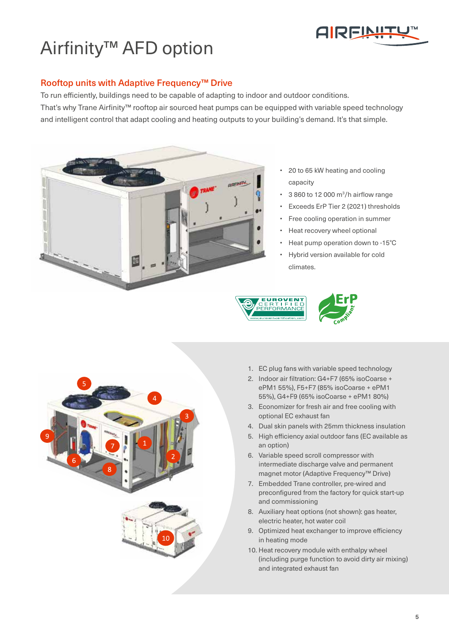

# Airfinity™ AFD option

#### Rooftop units with Adaptive Frequency™ Drive

To run efficiently, buildings need to be capable of adapting to indoor and outdoor conditions. That's why Trane Airfinity™ rooftop air sourced heat pumps can be equipped with variable speed technology and intelligent control that adapt cooling and heating outputs to your building's demand. It's that simple.



- 20 to 65 kW heating and cooling capacity
- $\cdot$  3 860 to 12 000 m<sup>3</sup>/h airflow range
- Exceeds ErP Tier 2 (2021) thresholds
- Free cooling operation in summer
- Heat recovery wheel optional
- Heat pump operation down to -15°C
- Hybrid version available for cold climates.









- 1. EC plug fans with variable speed technology
- 2. Indoor air filtration: G4+F7 (65% isoCoarse + ePM1 55%), F5+F7 (85% isoCoarse + ePM1 55%), G4+F9 (65% isoCoarse + ePM1 80%)
- 3. Economizer for fresh air and free cooling with optional EC exhaust fan
- 4. Dual skin panels with 25mm thickness insulation
- 5. High efficiency axial outdoor fans (EC available as an option)
- 6. Variable speed scroll compressor with intermediate discharge valve and permanent magnet motor (Adaptive Frequency™ Drive)
- 7. Embedded Trane controller, pre-wired and preconfigured from the factory for quick start-up and commissioning
- 8. Auxiliary heat options (not shown): gas heater, electric heater, hot water coil
- 9. Optimized heat exchanger to improve efficiency in heating mode
- 10. Heat recovery module with enthalpy wheel (including purge function to avoid dirty air mixing) and integrated exhaust fan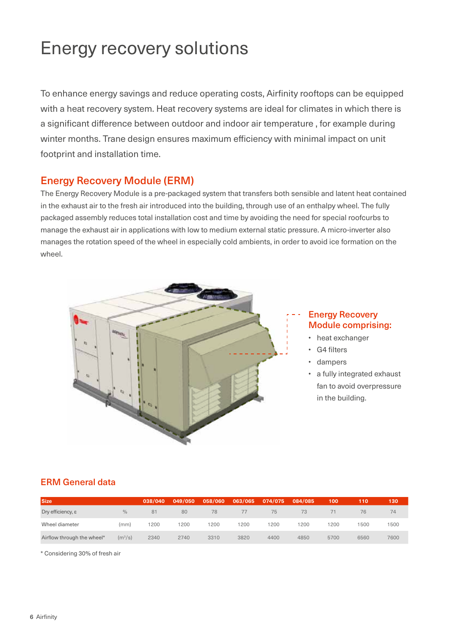# Energy recovery solutions

To enhance energy savings and reduce operating costs, Airfinity rooftops can be equipped with a heat recovery system. Heat recovery systems are ideal for climates in which there is a significant difference between outdoor and indoor air temperature , for example during winter months. Trane design ensures maximum efficiency with minimal impact on unit footprint and installation time.

### Energy Recovery Module (ERM)

The Energy Recovery Module is a pre-packaged system that transfers both sensible and latent heat contained in the exhaust air to the fresh air introduced into the building, through use of an enthalpy wheel. The fully packaged assembly reduces total installation cost and time by avoiding the need for special roofcurbs to manage the exhaust air in applications with low to medium external static pressure. A micro-inverter also manages the rotation speed of the wheel in especially cold ambients, in order to avoid ice formation on the wheel.



#### Energy Recovery Module comprising:

- heat exchanger
- G4 filters
- dampers
- a fully integrated exhaust fan to avoid overpressure in the building.

### ERM General data

| <b>Size</b>                     |                     | 038/040 | 049/050 | 058/060 | 063/065 | 074/075 | 084/085 | 100  | 110  | 130  |
|---------------------------------|---------------------|---------|---------|---------|---------|---------|---------|------|------|------|
| $Dry$ efficiency, $\varepsilon$ | $\frac{0}{0}$       | 81      | 80      | 78      | 77      | 75      | 73      |      | 76   | 74   |
| Wheel diameter                  | (mm)                | 200     | 1200    | 200     | 200     | 200     | 1200    | 1200 | 1500 | 1500 |
| Airflow through the wheel*      | (m <sup>3</sup> /s) | 2340    | 2740    | 3310    | 3820    | 4400    | 4850    | 5700 | 6560 | 7600 |

\* Considering 30% of fresh air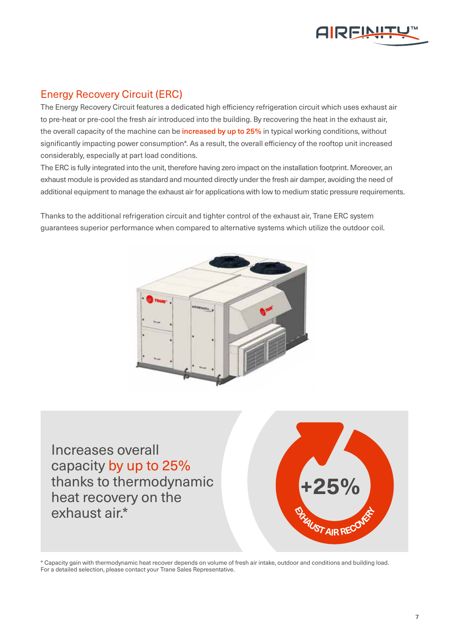

### Energy Recovery Circuit (ERC)

The Energy Recovery Circuit features a dedicated high efficiency refrigeration circuit which uses exhaust air to pre-heat or pre-cool the fresh air introduced into the building. By recovering the heat in the exhaust air, the overall capacity of the machine can be **increased by up to 25%** in typical working conditions, without significantly impacting power consumption\*. As a result, the overall efficiency of the rooftop unit increased considerably, especially at part load conditions.

The ERC is fully integrated into the unit, therefore having zero impact on the installation footprint. Moreover, an exhaust module is provided as standard and mounted directly under the fresh air damper, avoiding the need of additional equipment to manage the exhaust air for applications with low to medium static pressure requirements.

Thanks to the additional refrigeration circuit and tighter control of the exhaust air, Trane ERC system guarantees superior performance when compared to alternative systems which utilize the outdoor coil.



Increases overall capacity by up to 25% thanks to thermodynamic heat recovery on the exhaust air.\*



\* Capacity gain with thermodynamic heat recover depends on volume of fresh air intake, outdoor and conditions and building load. For a detailed selection, please contact your Trane Sales Representative.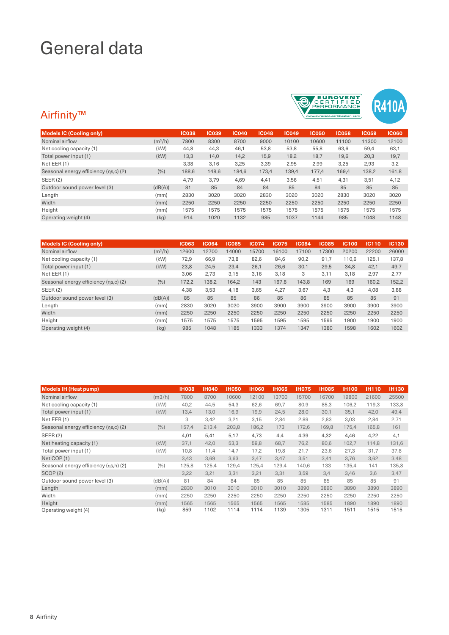# General data

### Airfinity™



| <b>Models IC (Cooling only)</b>       |           | <b>IC038</b> | <b>IC039</b> | <b>IC040</b> | <b>IC048</b> | <b>IC049</b> | <b>IC050</b> | <b>IC058</b> | <b>IC059</b> | <b>IC060</b> |
|---------------------------------------|-----------|--------------|--------------|--------------|--------------|--------------|--------------|--------------|--------------|--------------|
| Nominal airflow                       | $(m^3/h)$ | 7800         | 8300         | 8700         | 9000         | 10100        | 10600        | 11100        | 11300        | 12100        |
| Net cooling capacity (1)              | (kW)      | 44,8         | 44,3         | 46,1         | 53,8         | 53,8         | 55,8         | 63,6         | 59,4         | 63,1         |
| Total power input (1)                 | (kW)      | 13,3         | 14,0         | 14,2         | 15,9         | 18,2         | 18,7         | 19,6         | 20,3         | 19,7         |
| Net EER (1)                           |           | 3,38         | 3,16         | 3,25         | 3,39         | 2,95         | 2,99         | 3,25         | 2,93         | 3,2          |
| Seasonal energy efficiency (ns,c) (2) | (%)       | 188,6        | 148,6        | 184,6        | 173,4        | 139,4        | 177.4        | 169,4        | 138,2        | 161,8        |
| SEER(2)                               |           | 4,79         | 3,79         | 4,69         | 4,41         | 3,56         | 4,51         | 4,31         | 3,51         | 4,12         |
| Outdoor sound power level (3)         | (dB(A))   | 81           | 85           | 84           | 84           | 85           | 84           | 85           | 85           | 85           |
| Length                                | (mm)      | 2830         | 3020         | 3020         | 2830         | 3020         | 3020         | 2830         | 3020         | 3020         |
| Width                                 | (mm)      | 2250         | 2250         | 2250         | 2250         | 2250         | 2250         | 2250         | 2250         | 2250         |
| Height                                | (mm)      | 1575         | 1575         | 1575         | 1575         | 1575         | 1575         | 1575         | 1575         | 1575         |
| Operating weight (4)                  | (kg)      | 914          | 1020         | 1132         | 985          | 1037         | 1144         | 985          | 1048         | 1148         |

| <b>Models IC (Cooling only)</b>       |           | <b>IC063</b> | <b>IC064</b> | <b>IC065</b> | <b>IC074</b> | <b>IC075</b> | <b>IC084</b> | <b>IC085</b> | <b>IC100</b> | IC110 | IC130 |
|---------------------------------------|-----------|--------------|--------------|--------------|--------------|--------------|--------------|--------------|--------------|-------|-------|
| Nominal airflow                       | $(m^3/h)$ | 12600        | 12700        | 14000        | 15700        | 16100        | 17100        | 17300        | 20200        | 22200 | 26000 |
| Net cooling capacity (1)              | (kW)      | 72,9         | 66,9         | 73,8         | 82,6         | 84,6         | 90,2         | 91,7         | 110.6        | 125,1 | 137.8 |
| Total power input (1)                 | (kW)      | 23,8         | 24,5         | 23,4         | 26,1         | 26,6         | 30,1         | 29,5         | 34,8         | 42,1  | 49,7  |
| Net EER (1)                           |           | 3,06         | 2,73         | 3,15         | 3,16         | 3,18         | 3            | 3,11         | 3,18         | 2,97  | 2,77  |
| Seasonal energy efficiency (ns,c) (2) | (%)       | 172,2        | 138,2        | 164,2        | 143          | 167,8        | 143,8        | 169          | 169          | 160,2 | 152,2 |
| SEER(2)                               |           | 4,38         | 3,53         | 4,18         | 3.65         | 4,27         | 3,67         | 4,3          | 4.3          | 4,08  | 3,88  |
| Outdoor sound power level (3)         | (dB(A))   | 85           | 85           | 85           | 86           | 85           | 86           | 85           | 85           | 85    | 91    |
| Length                                | (mm)      | 2830         | 3020         | 3020         | 3900         | 3900         | 3900         | 3900         | 3900         | 3900  | 3900  |
| Width                                 | (mm)      | 2250         | 2250         | 2250         | 2250         | 2250         | 2250         | 2250         | 2250         | 2250  | 2250  |
| Height                                | (mm)      | 1575         | 1575         | 1575         | 1595         | 1595         | 1595         | 1595         | 1900         | 1900  | 1900  |
| Operating weight (4)                  | (kg)      | 985          | 1048         | 1185         | 1333         | 1374         | 1347         | 1380         | 1598         | 1602  | 1602  |

| <b>Models IH (Heat pump)</b>          |         | <b>IH038</b> | <b>IH040</b> | <b>IH050</b> | <b>IH060</b> | <b>IH065</b> | <b>IH075</b> | <b>IH085</b> | <b>IH100</b> | <b>IH110</b> | <b>IH130</b> |
|---------------------------------------|---------|--------------|--------------|--------------|--------------|--------------|--------------|--------------|--------------|--------------|--------------|
| Nominal airflow                       | (m3/h)  | 7800         | 8700         | 10600        | 12100        | 13700        | 15700        | 16700        | 19800        | 21600        | 25500        |
| Net cooling capacity (1)              | (kW)    | 40,2         | 44,5         | 54,3         | 62,6         | 69,7         | 80,9         | 85,3         | 106,2        | 119,3        | 133,8        |
| Total power input (1)                 | (kW)    | 13,4         | 13,0         | 16,9         | 19,9         | 24,5         | 28,0         | 30,1         | 35,1         | 42,0         | 49,4         |
| Net EER (1)                           |         | 3            | 3,42         | 3,21         | 3,15         | 2,84         | 2,89         | 2,83         | 3,03         | 2,84         | 2,71         |
| Seasonal energy efficiency (ns,c) (2) | (9/0)   | 157,4        | 213,4        | 203,8        | 186,2        | 173          | 172,6        | 169,8        | 175,4        | 165,8        | 161          |
| <b>SEER (2)</b>                       |         | 4,01         | 5,41         | 5,17         | 4,73         | 4,4          | 4,39         | 4,32         | 4,46         | 4,22         | 4,1          |
| Net heating capacity (1)              | (kW)    | 37,1         | 42,0         | 53,3         | 59,8         | 68,7         | 76,2         | 80,6         | 102,7        | 114,8        | 131,6        |
| Total power input (1)                 | (kW)    | 10,8         | 11,4         | 14,7         | 17,2         | 19,8         | 21,7         | 23,6         | 27,3         | 31,7         | 37,8         |
| Net COP (1)                           |         | 3,43         | 3,69         | 3,63         | 3,47         | 3,47         | 3,51         | 3,41         | 3,76         | 3,62         | 3,48         |
| Seasonal energy efficiency (ns,h) (2) | (%)     | 125,8        | 125,4        | 129,4        | 125,4        | 129,4        | 140,6        | 133          | 135,4        | 141          | 135,8        |
| SCOP(2)                               |         | 3,22         | 3,21         | 3,31         | 3,21         | 3,31         | 3,59         | 3,4          | 3,46         | 3,6          | 3,47         |
| Outdoor sound power level (3)         | (dB(A)) | 81           | 84           | 84           | 85           | 85           | 85           | 85           | 85           | 85           | 91           |
| Length                                | (mm)    | 2830         | 3010         | 3010         | 3010         | 3010         | 3890         | 3890         | 3890         | 3890         | 3890         |
| Width                                 | (mm)    | 2250         | 2250         | 2250         | 2250         | 2250         | 2250         | 2250         | 2250         | 2250         | 2250         |
| Height                                | (mm)    | 1565         | 1565         | 1565         | 1565         | 1565         | 1585         | 1585         | 1890         | 1890         | 1890         |
| Operating weight (4)                  | (kg)    | 859          | 1102         | 1114         | 1114         | 1139         | 1305         | 1311         | 1511         | 1515         | 1515         |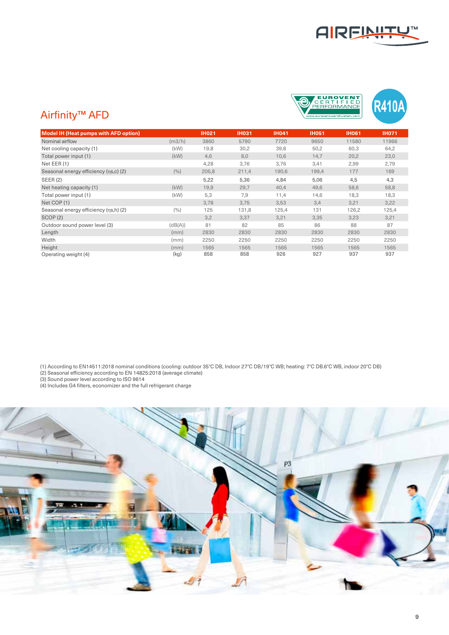





| <b>Model IH (Heat pumps with AFD option)</b> |         | <b>IH021</b> | <b>IH031</b> | <b>IH041</b> | <b>IH051</b> | <b>IH061</b> | <b>IH071</b> |
|----------------------------------------------|---------|--------------|--------------|--------------|--------------|--------------|--------------|
| Nominal airflow                              | (m3/h)  | 3860         | 5790         | 7720         | 9650         | 11580        | 11966        |
| Net cooling capacity (1)                     | (kW)    | 19,8         | 30,2         | 39,8         | 50,2         | 60,3         | 64,2         |
| Total power input (1)                        | (kW)    | 4,6          | 8,0          | 10,6         | 14,7         | 20,2         | 23,0         |
| Net EER (1)                                  |         | 4,28         | 3,76         | 3,76         | 3,41         | 2,99         | 2,79         |
| Seasonal energy efficiency (ns,c) (2)        | (9/0)   | 205,8        | 211,4        | 190,6        | 199,4        | 177          | 169          |
| <b>SEER (2)</b>                              |         | 5,22         | 5,36         | 4,84         | 5,06         | 4,5          | 4,3          |
| Net heating capacity (1)                     | (kW)    | 19,9         | 29,7         | 40.4         | 49.6         | 58,6         | 58,8         |
| Total power input (1)                        | (kW)    | 5,3          | 7,9          | 11,4         | 14,6         | 18,3         | 18,3         |
| Net COP (1)                                  |         | 3,78         | 3,75         | 3,53         | 3,4          | 3,21         | 3,22         |
| Seasonal energy efficiency (ns,h) (2)        | (9/0)   | 125          | 131,8        | 125,4        | 131          | 126,2        | 125,4        |
| SCOP(2)                                      |         | 3,2          | 3,37         | 3,21         | 3,35         | 3,23         | 3,21         |
| Outdoor sound power level (3)                | (dB(A)) | 81           | 82           | 85           | 86           | 88           | 87           |
| Length                                       | (mm)    | 2830         | 2830         | 2830         | 2830         | 2830         | 2830         |
| Width                                        | (mm)    | 2250         | 2250         | 2250         | 2250         | 2250         | 2250         |
| Height                                       | (mm)    | 1565         | 1565         | 1565         | 1565         | 1565         | 1565         |
| Operating weight (4)                         | (kg)    | 858          | 858          | 926          | 927          | 937          | 937          |

(1) According to EN14511:2018 nominal conditions (cooling: outdoor 35°C DB, Indoor 27°C DB/19°C WB; heating: 7°C DB.6°C WB, indoor 20°C DB)

(2) Seasonal efficiency according to EN 14825:2018 (average climate)

(3) Sound power level according to ISO 9614

(4) Includes G4 filters, economizer and the full refrigerant charge

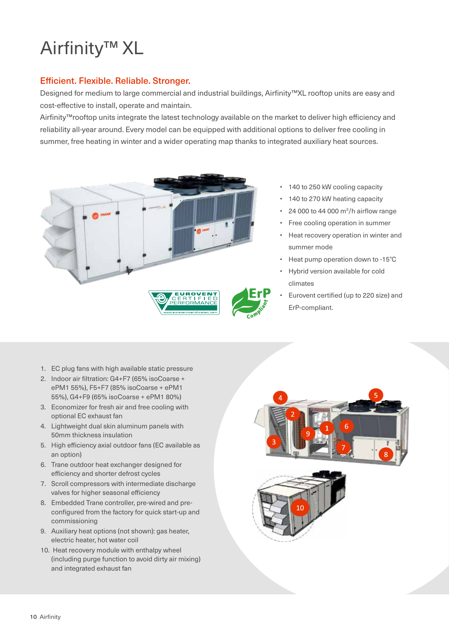# Airfinity™ XL

#### Efficient. Flexible. Reliable. Stronger.

Designed for medium to large commercial and industrial buildings, Airfinity™XL rooftop units are easy and cost-effective to install, operate and maintain.

Airfinity™rooftop units integrate the latest technology available on the market to deliver high efficiency and reliability all-year around. Every model can be equipped with additional options to deliver free cooling in summer, free heating in winter and a wider operating map thanks to integrated auxiliary heat sources.



- 140 to 250 kW cooling capacity
- 140 to 270 kW heating capacity
- $\cdot$  24 000 to 44 000 m<sup>3</sup>/h airflow range
- Free cooling operation in summer
- Heat recovery operation in winter and summer mode
- Heat pump operation down to -15°C
- Hybrid version available for cold climates
- Eurovent certified (up to 220 size) and ErP-compliant.

- 1. EC plug fans with high available static pressure
- 2. Indoor air filtration: G4+F7 (65% isoCoarse + ePM1 55%), F5+F7 (85% isoCoarse + ePM1 55%), G4+F9 (65% isoCoarse + ePM1 80%)
- 3. Economizer for fresh air and free cooling with optional EC exhaust fan
- 4. Lightweight dual skin aluminum panels with 50mm thickness insulation
- 5. High efficiency axial outdoor fans (EC available as an option)
- 6. Trane outdoor heat exchanger designed for efficiency and shorter defrost cycles
- 7. Scroll compressors with intermediate discharge valves for higher seasonal efficiency
- 8. Embedded Trane controller, pre-wired and preconfigured from the factory for quick start-up and commissioning
- 9. Auxiliary heat options (not shown): gas heater, electric heater, hot water coil
- 10. Heat recovery module with enthalpy wheel (including purge function to avoid dirty air mixing) and integrated exhaust fan



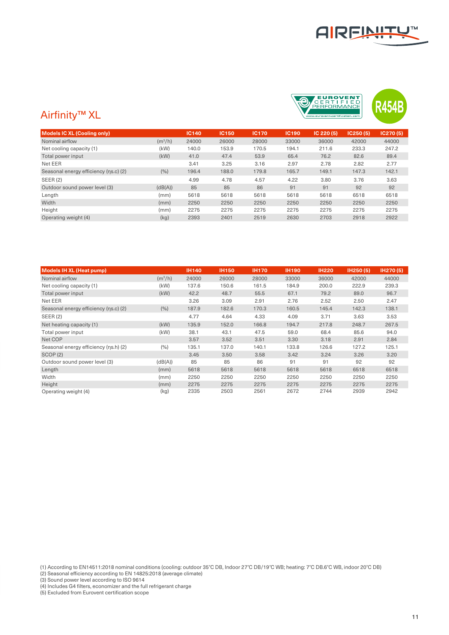



### Airfinity™ XL

| <b>Models IC XL (Cooling only)</b>    |           | <b>IC140</b> | <b>IC150</b> | <b>IC170</b> | <b>IC190</b> | IC 220 (5) | IC250(5) | IC270(5) |
|---------------------------------------|-----------|--------------|--------------|--------------|--------------|------------|----------|----------|
|                                       |           |              |              |              |              |            |          |          |
| Nominal airflow                       | $(m^3/h)$ | 24000        | 26000        | 28000        | 33000        | 36000      | 42000    | 44000    |
| Net cooling capacity (1)              | (kW)      | 140.0        | 153.9        | 170.5        | 194.1        | 211.6      | 233.3    | 247.2    |
| Total power input                     | (kW)      | 41.0         | 47.4         | 53.9         | 65.4         | 76.2       | 82.6     | 89.4     |
| Net EER                               |           | 3.41         | 3.25         | 3.16         | 2.97         | 2.78       | 2.82     | 2.77     |
| Seasonal energy efficiency (ns.c) (2) | (%)       | 196.4        | 188.0        | 179.8        | 165.7        | 149.1      | 147.3    | 142.1    |
| SEER(2)                               |           | 4.99         | 4.78         | 4.57         | 4.22         | 3.80       | 3.76     | 3.63     |
| Outdoor sound power level (3)         | (dB(A))   | 85           | 85           | 86           | 91           | 91         | 92       | 92       |
| Length                                | (mm)      | 5618         | 5618         | 5618         | 5618         | 5618       | 6518     | 6518     |
| Width                                 | (mm)      | 2250         | 2250         | 2250         | 2250         | 2250       | 2250     | 2250     |
| Height                                | (mm)      | 2275         | 2275         | 2275         | 2275         | 2275       | 2275     | 2275     |
| Operating weight (4)                  | (kg)      | 2393         | 2401         | 2519         | 2630         | 2703       | 2918     | 2922     |
|                                       |           |              |              |              |              |            |          |          |

| <b>Models IH XL (Heat pump)</b>       |           | <b>IH140</b> | <b>IH150</b> | <b>IH170</b> | <b>IH190</b> | <b>IH220</b> | IH250 (5) | <b>IH270(5)</b> |
|---------------------------------------|-----------|--------------|--------------|--------------|--------------|--------------|-----------|-----------------|
| Nominal airflow                       | $(m^3/h)$ | 24000        | 26000        | 28000        | 33000        | 36000        | 42000     | 44000           |
| Net cooling capacity (1)              | (kW)      | 137.6        | 150.6        | 161.5        | 184.9        | 200.0        | 222.9     | 239.3           |
| Total power input                     | (kW)      | 42.2         | 48.7         | 55.5         | 67.1         | 79.2         | 89.0      | 96.7            |
| Net EER                               |           | 3.26         | 3.09         | 2.91         | 2.76         | 2.52         | 2.50      | 2.47            |
| Seasonal energy efficiency (ns.c) (2) | (%)       | 187.9        | 182.6        | 170.3        | 160.5        | 145.4        | 142.3     | 138.1           |
| <b>SEER(2)</b>                        |           | 4.77         | 4.64         | 4.33         | 4.09         | 3.71         | 3.63      | 3.53            |
| Net heating capacity (1)              | (kW)      | 135.9        | 152.0        | 166.8        | 194.7        | 217.8        | 248.7     | 267.5           |
| Total power input                     | (kW)      | 38.1         | 43.1         | 47.5         | 59.0         | 68.4         | 85.6      | 94.0            |
| Net COP                               |           | 3.57         | 3.52         | 3.51         | 3.30         | 3.18         | 2.91      | 2.84            |
| Seasonal energy efficiency (ns.h) (2) | (%)       | 135.1        | 137.0        | 140.1        | 133.8        | 126.6        | 127.2     | 125.1           |
| SCOP(2)                               |           | 3.45         | 3.50         | 3.58         | 3.42         | 3.24         | 3.26      | 3.20            |
| Outdoor sound power level (3)         | (dB(A))   | 85           | 85           | 86           | 91           | 91           | 92        | 92              |
| Length                                | (mm)      | 5618         | 5618         | 5618         | 5618         | 5618         | 6518      | 6518            |
| Width                                 | (mm)      | 2250         | 2250         | 2250         | 2250         | 2250         | 2250      | 2250            |
| Height                                | (mm)      | 2275         | 2275         | 2275         | 2275         | 2275         | 2275      | 2275            |
| Operating weight (4)                  | (kg)      | 2335         | 2503         | 2561         | 2672         | 2744         | 2939      | 2942            |

(1) According to EN14511:2018 nominal conditions (cooling: outdoor 35°C DB, Indoor 27°C DB/19°C WB; heating: 7°C DB.6°C WB, indoor 20°C DB)

(2) Seasonal efficiency according to EN 14825:2018 (average climate)

(3) Sound power level according to ISO 9614

(5) Excluded from Eurovent certification scope

<sup>(4)</sup> Includes G4 filters, economizer and the full refrigerant charge